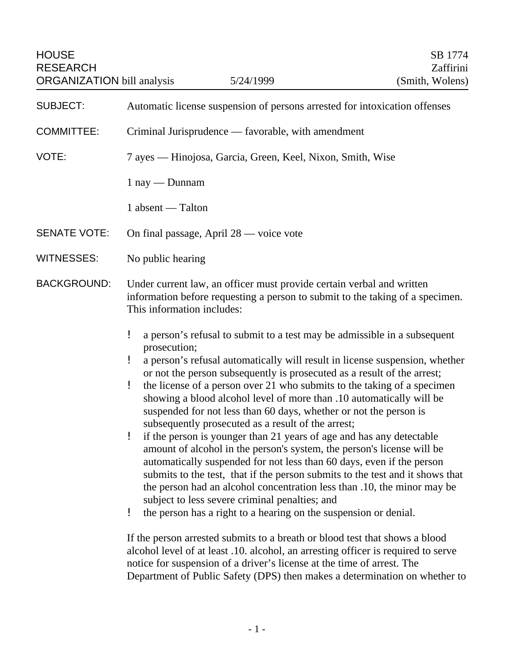| <b>HOUSE</b><br><b>RESEARCH</b><br><b>ORGANIZATION</b> bill analysis | 5/24/1999                                                                                                                                                                                                                                                                                                                                                                                                                                                                                                                                                                                                                                                                                                                                                                                                                                                                                                                                                                                                                                                                                                                                             | SB 1774<br>Zaffirini<br>(Smith, Wolens) |
|----------------------------------------------------------------------|-------------------------------------------------------------------------------------------------------------------------------------------------------------------------------------------------------------------------------------------------------------------------------------------------------------------------------------------------------------------------------------------------------------------------------------------------------------------------------------------------------------------------------------------------------------------------------------------------------------------------------------------------------------------------------------------------------------------------------------------------------------------------------------------------------------------------------------------------------------------------------------------------------------------------------------------------------------------------------------------------------------------------------------------------------------------------------------------------------------------------------------------------------|-----------------------------------------|
| <b>SUBJECT:</b>                                                      | Automatic license suspension of persons arrested for intoxication offenses                                                                                                                                                                                                                                                                                                                                                                                                                                                                                                                                                                                                                                                                                                                                                                                                                                                                                                                                                                                                                                                                            |                                         |
| <b>COMMITTEE:</b>                                                    | Criminal Jurisprudence — favorable, with amendment                                                                                                                                                                                                                                                                                                                                                                                                                                                                                                                                                                                                                                                                                                                                                                                                                                                                                                                                                                                                                                                                                                    |                                         |
| VOTE:                                                                | 7 ayes — Hinojosa, Garcia, Green, Keel, Nixon, Smith, Wise                                                                                                                                                                                                                                                                                                                                                                                                                                                                                                                                                                                                                                                                                                                                                                                                                                                                                                                                                                                                                                                                                            |                                         |
|                                                                      | $1$ nay $-$ Dunnam                                                                                                                                                                                                                                                                                                                                                                                                                                                                                                                                                                                                                                                                                                                                                                                                                                                                                                                                                                                                                                                                                                                                    |                                         |
|                                                                      | 1 absent — Talton                                                                                                                                                                                                                                                                                                                                                                                                                                                                                                                                                                                                                                                                                                                                                                                                                                                                                                                                                                                                                                                                                                                                     |                                         |
| <b>SENATE VOTE:</b>                                                  | On final passage, April 28 — voice vote                                                                                                                                                                                                                                                                                                                                                                                                                                                                                                                                                                                                                                                                                                                                                                                                                                                                                                                                                                                                                                                                                                               |                                         |
| <b>WITNESSES:</b>                                                    | No public hearing                                                                                                                                                                                                                                                                                                                                                                                                                                                                                                                                                                                                                                                                                                                                                                                                                                                                                                                                                                                                                                                                                                                                     |                                         |
| <b>BACKGROUND:</b>                                                   | Under current law, an officer must provide certain verbal and written<br>information before requesting a person to submit to the taking of a specimen.<br>This information includes:                                                                                                                                                                                                                                                                                                                                                                                                                                                                                                                                                                                                                                                                                                                                                                                                                                                                                                                                                                  |                                         |
|                                                                      | ŗ<br>a person's refusal to submit to a test may be admissible in a subsequent<br>prosecution;<br>a person's refusal automatically will result in license suspension, whether<br>ŗ<br>or not the person subsequently is prosecuted as a result of the arrest;<br>ŗ<br>the license of a person over 21 who submits to the taking of a specimen<br>showing a blood alcohol level of more than .10 automatically will be<br>suspended for not less than 60 days, whether or not the person is<br>subsequently prosecuted as a result of the arrest;<br>ļ<br>if the person is younger than 21 years of age and has any detectable<br>amount of alcohol in the person's system, the person's license will be<br>automatically suspended for not less than 60 days, even if the person<br>submits to the test, that if the person submits to the test and it shows that<br>the person had an alcohol concentration less than .10, the minor may be<br>subject to less severe criminal penalties; and<br>the person has a right to a hearing on the suspension or denial.<br>ŗ<br>If the person arrested submits to a breath or blood test that shows a blood |                                         |

If the person arrested submits to a breath or blood test that shows a blood alcohol level of at least .10. alcohol, an arresting officer is required to serve notice for suspension of a driver's license at the time of arrest. The Department of Public Safety (DPS) then makes a determination on whether to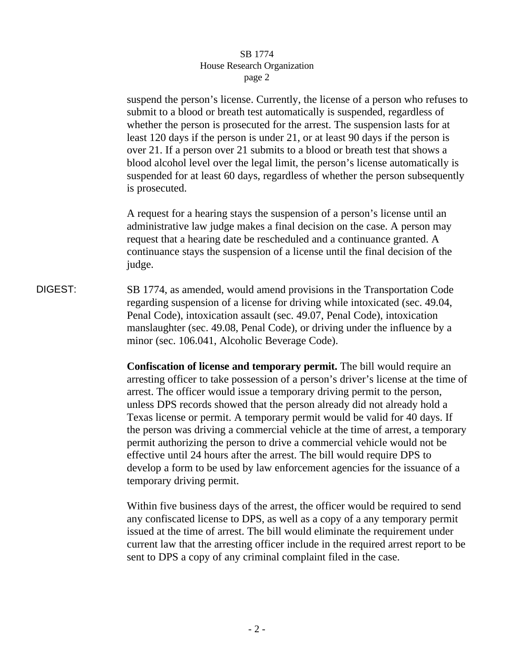suspend the person's license. Currently, the license of a person who refuses to submit to a blood or breath test automatically is suspended, regardless of whether the person is prosecuted for the arrest. The suspension lasts for at least 120 days if the person is under 21, or at least 90 days if the person is over 21. If a person over 21 submits to a blood or breath test that shows a blood alcohol level over the legal limit, the person's license automatically is suspended for at least 60 days, regardless of whether the person subsequently is prosecuted.

A request for a hearing stays the suspension of a person's license until an administrative law judge makes a final decision on the case. A person may request that a hearing date be rescheduled and a continuance granted. A continuance stays the suspension of a license until the final decision of the judge.

DIGEST: SB 1774, as amended, would amend provisions in the Transportation Code regarding suspension of a license for driving while intoxicated (sec. 49.04, Penal Code), intoxication assault (sec. 49.07, Penal Code), intoxication manslaughter (sec. 49.08, Penal Code), or driving under the influence by a minor (sec. 106.041, Alcoholic Beverage Code).

> **Confiscation of license and temporary permit.** The bill would require an arresting officer to take possession of a person's driver's license at the time of arrest. The officer would issue a temporary driving permit to the person, unless DPS records showed that the person already did not already hold a Texas license or permit. A temporary permit would be valid for 40 days. If the person was driving a commercial vehicle at the time of arrest, a temporary permit authorizing the person to drive a commercial vehicle would not be effective until 24 hours after the arrest. The bill would require DPS to develop a form to be used by law enforcement agencies for the issuance of a temporary driving permit.

> Within five business days of the arrest, the officer would be required to send any confiscated license to DPS, as well as a copy of a any temporary permit issued at the time of arrest. The bill would eliminate the requirement under current law that the arresting officer include in the required arrest report to be sent to DPS a copy of any criminal complaint filed in the case.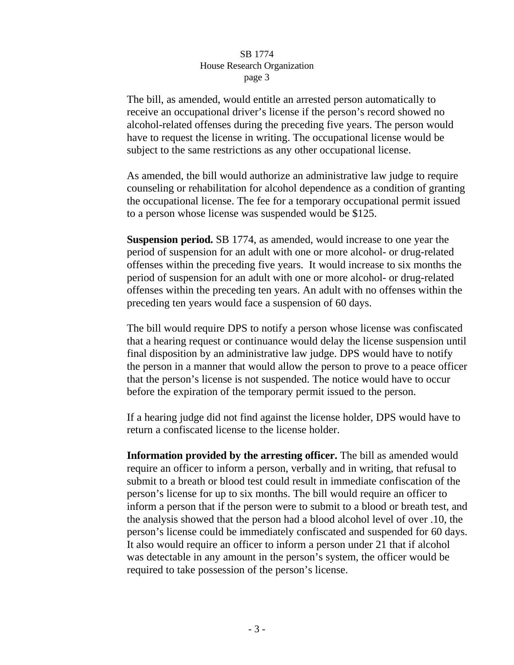The bill, as amended, would entitle an arrested person automatically to receive an occupational driver's license if the person's record showed no alcohol-related offenses during the preceding five years. The person would have to request the license in writing. The occupational license would be subject to the same restrictions as any other occupational license.

As amended, the bill would authorize an administrative law judge to require counseling or rehabilitation for alcohol dependence as a condition of granting the occupational license. The fee for a temporary occupational permit issued to a person whose license was suspended would be \$125.

**Suspension period.** SB 1774, as amended, would increase to one year the period of suspension for an adult with one or more alcohol- or drug-related offenses within the preceding five years. It would increase to six months the period of suspension for an adult with one or more alcohol- or drug-related offenses within the preceding ten years. An adult with no offenses within the preceding ten years would face a suspension of 60 days.

The bill would require DPS to notify a person whose license was confiscated that a hearing request or continuance would delay the license suspension until final disposition by an administrative law judge. DPS would have to notify the person in a manner that would allow the person to prove to a peace officer that the person's license is not suspended. The notice would have to occur before the expiration of the temporary permit issued to the person.

If a hearing judge did not find against the license holder, DPS would have to return a confiscated license to the license holder.

**Information provided by the arresting officer.** The bill as amended would require an officer to inform a person, verbally and in writing, that refusal to submit to a breath or blood test could result in immediate confiscation of the person's license for up to six months. The bill would require an officer to inform a person that if the person were to submit to a blood or breath test, and the analysis showed that the person had a blood alcohol level of over .10, the person's license could be immediately confiscated and suspended for 60 days. It also would require an officer to inform a person under 21 that if alcohol was detectable in any amount in the person's system, the officer would be required to take possession of the person's license.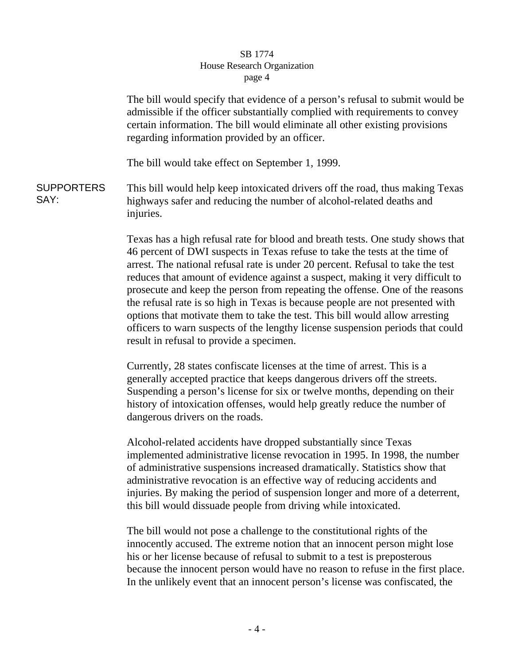The bill would specify that evidence of a person's refusal to submit would be admissible if the officer substantially complied with requirements to convey certain information. The bill would eliminate all other existing provisions regarding information provided by an officer.

The bill would take effect on September 1, 1999.

**SUPPORTERS** SAY: This bill would help keep intoxicated drivers off the road, thus making Texas highways safer and reducing the number of alcohol-related deaths and injuries.

> Texas has a high refusal rate for blood and breath tests. One study shows that 46 percent of DWI suspects in Texas refuse to take the tests at the time of arrest. The national refusal rate is under 20 percent. Refusal to take the test reduces that amount of evidence against a suspect, making it very difficult to prosecute and keep the person from repeating the offense. One of the reasons the refusal rate is so high in Texas is because people are not presented with options that motivate them to take the test. This bill would allow arresting officers to warn suspects of the lengthy license suspension periods that could result in refusal to provide a specimen.

Currently, 28 states confiscate licenses at the time of arrest. This is a generally accepted practice that keeps dangerous drivers off the streets. Suspending a person's license for six or twelve months, depending on their history of intoxication offenses, would help greatly reduce the number of dangerous drivers on the roads.

Alcohol-related accidents have dropped substantially since Texas implemented administrative license revocation in 1995. In 1998, the number of administrative suspensions increased dramatically. Statistics show that administrative revocation is an effective way of reducing accidents and injuries. By making the period of suspension longer and more of a deterrent, this bill would dissuade people from driving while intoxicated.

The bill would not pose a challenge to the constitutional rights of the innocently accused. The extreme notion that an innocent person might lose his or her license because of refusal to submit to a test is preposterous because the innocent person would have no reason to refuse in the first place. In the unlikely event that an innocent person's license was confiscated, the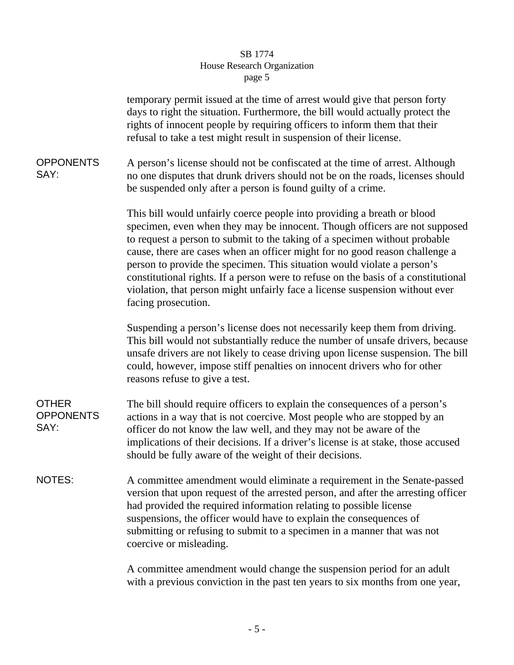|                                          | temporary permit issued at the time of arrest would give that person forty<br>days to right the situation. Furthermore, the bill would actually protect the<br>rights of innocent people by requiring officers to inform them that their<br>refusal to take a test might result in suspension of their license.                                                                                                                                                                                                                                                                            |  |
|------------------------------------------|--------------------------------------------------------------------------------------------------------------------------------------------------------------------------------------------------------------------------------------------------------------------------------------------------------------------------------------------------------------------------------------------------------------------------------------------------------------------------------------------------------------------------------------------------------------------------------------------|--|
| <b>OPPONENTS</b><br>SAY:                 | A person's license should not be confiscated at the time of arrest. Although<br>no one disputes that drunk drivers should not be on the roads, licenses should<br>be suspended only after a person is found guilty of a crime.                                                                                                                                                                                                                                                                                                                                                             |  |
|                                          | This bill would unfairly coerce people into providing a breath or blood<br>specimen, even when they may be innocent. Though officers are not supposed<br>to request a person to submit to the taking of a specimen without probable<br>cause, there are cases when an officer might for no good reason challenge a<br>person to provide the specimen. This situation would violate a person's<br>constitutional rights. If a person were to refuse on the basis of a constitutional<br>violation, that person might unfairly face a license suspension without ever<br>facing prosecution. |  |
|                                          | Suspending a person's license does not necessarily keep them from driving.<br>This bill would not substantially reduce the number of unsafe drivers, because<br>unsafe drivers are not likely to cease driving upon license suspension. The bill<br>could, however, impose stiff penalties on innocent drivers who for other<br>reasons refuse to give a test.                                                                                                                                                                                                                             |  |
| <b>OTHER</b><br><b>OPPONENTS</b><br>SAY: | The bill should require officers to explain the consequences of a person's<br>actions in a way that is not coercive. Most people who are stopped by an<br>officer do not know the law well, and they may not be aware of the<br>implications of their decisions. If a driver's license is at stake, those accused<br>should be fully aware of the weight of their decisions.                                                                                                                                                                                                               |  |
| <b>NOTES:</b>                            | A committee amendment would eliminate a requirement in the Senate-passed<br>version that upon request of the arrested person, and after the arresting officer<br>had provided the required information relating to possible license<br>suspensions, the officer would have to explain the consequences of<br>submitting or refusing to submit to a specimen in a manner that was not<br>coercive or misleading.                                                                                                                                                                            |  |
|                                          | A committee amendment would change the suspension period for an adult<br>with a previous conviction in the past ten years to six months from one year,                                                                                                                                                                                                                                                                                                                                                                                                                                     |  |